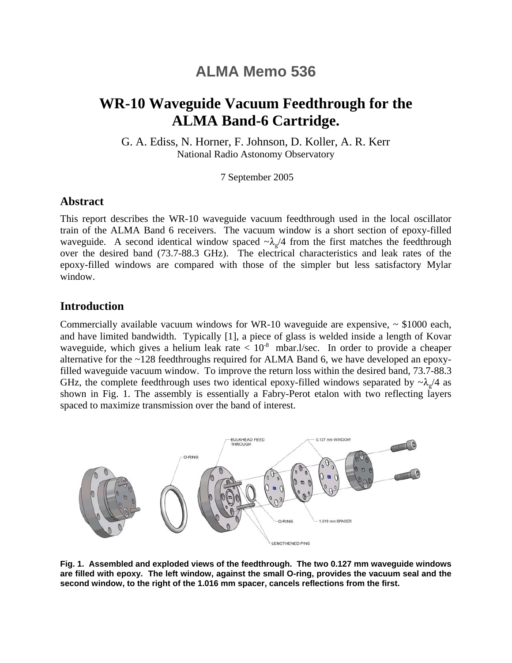# **ALMA Memo 536**

# **WR-10 Waveguide Vacuum Feedthrough for the ALMA Band-6 Cartridge.**

G. A. Ediss, N. Horner, F. Johnson, D. Koller, A. R. Kerr National Radio Astonomy Observatory

7 September 2005

## **Abstract**

This report describes the WR-10 waveguide vacuum feedthrough used in the local oscillator train of the ALMA Band 6 receivers. The vacuum window is a short section of epoxy-filled waveguide. A second identical window spaced  $\sim \lambda_o/4$  from the first matches the feedthrough over the desired band (73.7-88.3 GHz). The electrical characteristics and leak rates of the epoxy-filled windows are compared with those of the simpler but less satisfactory Mylar window.

## **Introduction**

Commercially available vacuum windows for WR-10 waveguide are expensive,  $\sim$  \$1000 each, and have limited bandwidth. Typically [1], a piece of glass is welded inside a length of Kovar waveguide, which gives a helium leak rate  $< 10<sup>-8</sup>$  mbar.l/sec. In order to provide a cheaper alternative for the ~128 feedthroughs required for ALMA Band 6, we have developed an epoxyfilled waveguide vacuum window. To improve the return loss within the desired band, 73.7-88.3 GHz, the complete feedthrough uses two identical epoxy-filled windows separated by  $\sim \lambda$  /4 as shown in Fig. 1. The assembly is essentially a Fabry-Perot etalon with two reflecting layers spaced to maximize transmission over the band of interest.



**Fig. 1. Assembled and exploded views of the feedthrough. The two 0.127 mm waveguide windows are filled with epoxy. The left window, against the small O-ring, provides the vacuum seal and the second window, to the right of the 1.016 mm spacer, cancels reflections from the first.**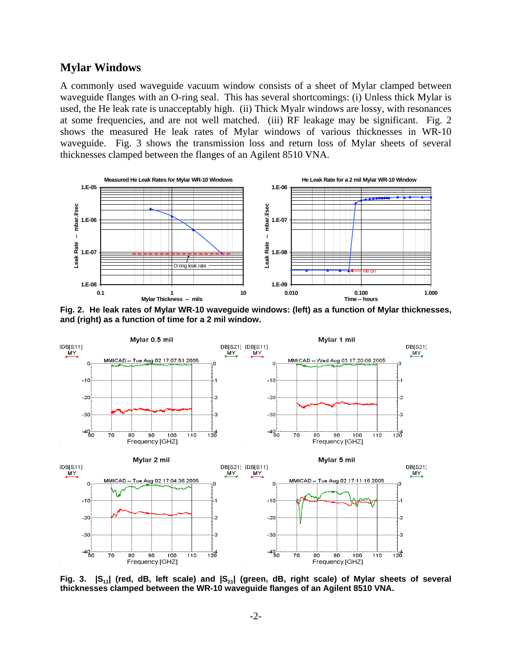#### **Mylar Windows**

A commonly used waveguide vacuum window consists of a sheet of Mylar clamped between waveguide flanges with an O-ring seal. This has several shortcomings: (i) Unless thick Mylar is used, the He leak rate is unacceptably high. (ii) Thick Myalr windows are lossy, with resonances at some frequencies, and are not well matched. (iii) RF leakage may be significant. Fig. 2 shows the measured He leak rates of Mylar windows of various thicknesses in WR-10 waveguide. Fig. 3 shows the transmission loss and return loss of Mylar sheets of several thicknesses clamped between the flanges of an Agilent 8510 VNA.



**Fig. 2. He leak rates of Mylar WR-10 waveguide windows: (left) as a function of Mylar thicknesses, and (right) as a function of time for a 2 mil window.**



Fig. 3.  $|S_{11}|$  (red, dB, left scale) and  $|S_{21}|$  (green, dB, right scale) of Mylar sheets of several **thicknesses clamped between the WR-10 waveguide flanges of an Agilent 8510 VNA.**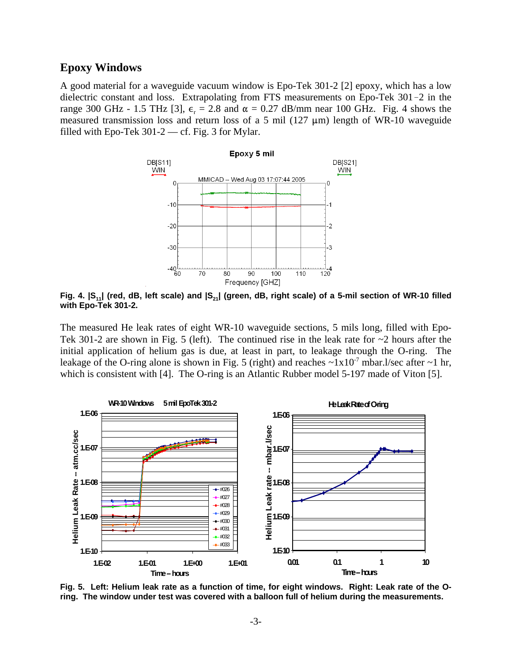#### **Epoxy Windows**

A good material for a waveguide vacuum window is Epo-Tek 301-2 [2] epoxy, which has a low dielectric constant and loss. Extrapolating from FTS measurements on Epo-Tek 301-2 in the range 300 GHz - 1.5 THz [3],  $\epsilon_r = 2.8$  and  $\alpha = 0.27$  dB/mm near 100 GHz. Fig. 4 shows the measured transmission loss and return loss of a 5 mil (127  $\mu$ m) length of WR-10 waveguide filled with Epo-Tek 301-2 — cf. Fig. 3 for Mylar.



Fig. 4.  $|S_{11}|$  (red, dB, left scale) and  $|S_{21}|$  (green, dB, right scale) of a 5-mil section of WR-10 filled **with Epo-Tek 301-2.** 

The measured He leak rates of eight WR-10 waveguide sections, 5 mils long, filled with Epo-Tek 301-2 are shown in Fig. 5 (left). The continued rise in the leak rate for  $\sim$ 2 hours after the initial application of helium gas is due, at least in part, to leakage through the O-ring. The leakage of the O-ring alone is shown in Fig. 5 (right) and reaches  $\sim 1 \times 10^{-7}$  mbar.l/sec after  $\sim 1$  hr, which is consistent with [4]. The O-ring is an Atlantic Rubber model 5-197 made of Viton [5].



**Fig. 5. Left: Helium leak rate as a function of time, for eight windows. Right: Leak rate of the Oring. The window under test was covered with a balloon full of helium during the measurements.**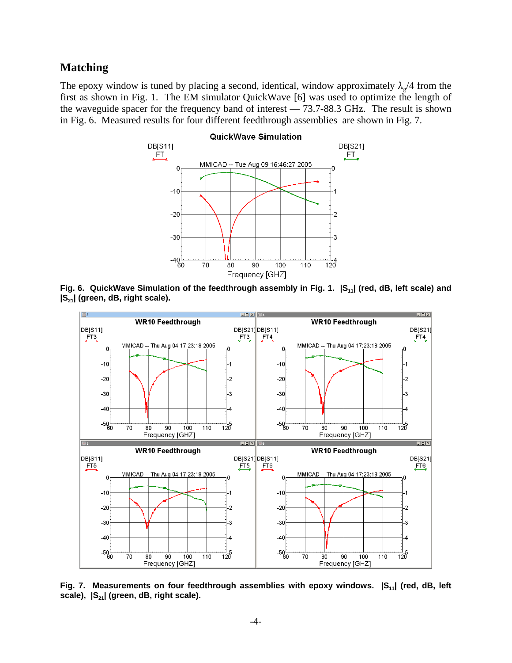## **Matching**

The epoxy window is tuned by placing a second, identical, window approximately  $\lambda_{g}/4$  from the first as shown in Fig. 1. The EM simulator QuickWave [6] was used to optimize the length of the waveguide spacer for the frequency band of interest — 73.7-88.3 GHz. The result is shown in Fig. 6. Measured results for four different feedthrough assemblies are shown in Fig. 7.



Fig. 6. QuickWave Simulation of the feedthrough assembly in Fig. 1.  $|S_{11}|$  (red, dB, left scale) and **|S21| (green, dB, right scale).** 



Fig. 7. Measurements on four feedthrough assemblies with epoxy windows.  $|S_{11}|$  (red, dB, left scale),  $|S_{21}|$  (green, dB, right scale).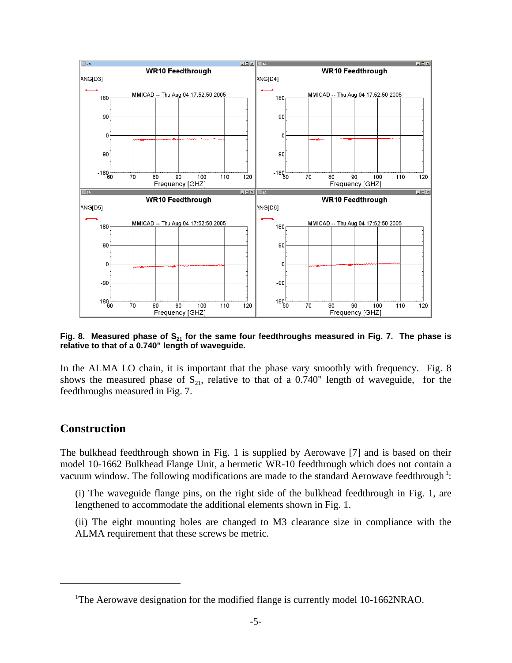

Fig. 8. Measured phase of S<sub>21</sub> for the same four feedthroughs measured in Fig. 7. The phase is **relative to that of a 0.740" length of waveguide.**

In the ALMA LO chain, it is important that the phase vary smoothly with frequency. Fig. 8 shows the measured phase of  $S_{21}$ , relative to that of a 0.740" length of waveguide, for the feedthroughs measured in Fig. 7.

## **Construction**

The bulkhead feedthrough shown in Fig. 1 is supplied by Aerowave [7] and is based on their model 10-1662 Bulkhead Flange Unit, a hermetic WR-10 feedthrough which does not contain a vacuum window. The following modifications are made to the standard Aerowave feedthrough<sup>1</sup>:

(i) The waveguide flange pins, on the right side of the bulkhead feedthrough in Fig. 1, are lengthened to accommodate the additional elements shown in Fig. 1.

(ii) The eight mounting holes are changed to M3 clearance size in compliance with the ALMA requirement that these screws be metric.

<sup>&</sup>lt;sup>1</sup>The Aerowave designation for the modified flange is currently model 10-1662NRAO.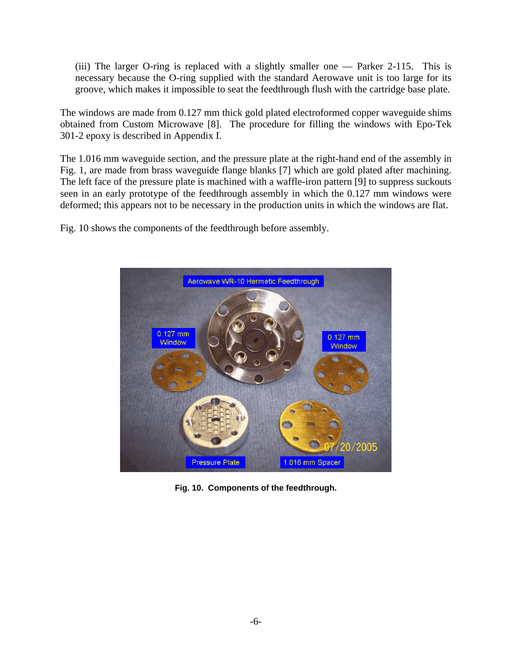(iii) The larger O-ring is replaced with a slightly smaller one — Parker 2-115. This is necessary because the O-ring supplied with the standard Aerowave unit is too large for its groove, which makes it impossible to seat the feedthrough flush with the cartridge base plate.

The windows are made from 0.127 mm thick gold plated electroformed copper waveguide shims obtained from Custom Microwave [8]. The procedure for filling the windows with Epo-Tek 301-2 epoxy is described in Appendix I.

The 1.016 mm waveguide section, and the pressure plate at the right-hand end of the assembly in Fig. 1, are made from brass waveguide flange blanks [7] which are gold plated after machining. The left face of the pressure plate is machined with a waffle-iron pattern [9] to suppress suckouts seen in an early prototype of the feedthrough assembly in which the 0.127 mm windows were deformed; this appears not to be necessary in the production units in which the windows are flat.

Fig. 10 shows the components of the feedthrough before assembly.



**Fig. 10. Components of the feedthrough.**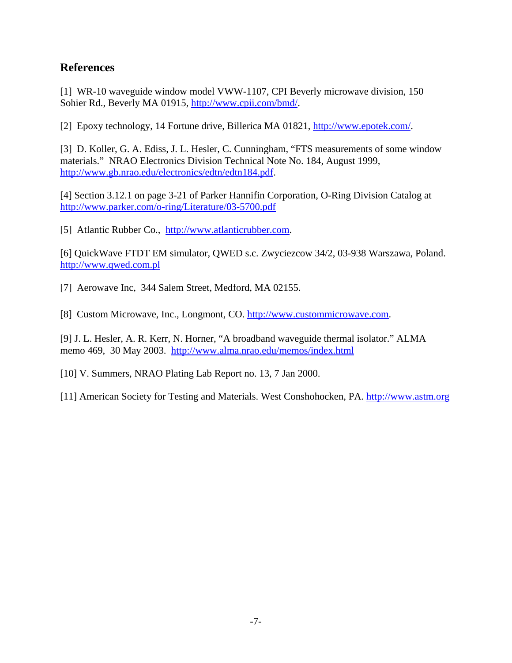## **References**

[1] WR-10 waveguide window model VWW-1107, CPI Beverly microwave division, 150 Sohier Rd., Beverly MA 01915, http://www.cpii.com/bmd/.

[2] Epoxy technology, 14 Fortune drive, Billerica MA 01821, http://www.epotek.com/.

[3] D. Koller, G. A. Ediss, J. L. Hesler, C. Cunningham, "FTS measurements of some window materials." NRAO Electronics Division Technical Note No. 184, August 1999, http://www.gb.nrao.edu/electronics/edtn/edtn184.pdf.

[4] Section 3.12.1 on page 3-21 of Parker Hannifin Corporation, O-Ring Division Catalog at http://www.parker.com/o-ring/Literature/03-5700.pdf

[5] Atlantic Rubber Co., http://www.atlanticrubber.com.

[6] QuickWave FTDT EM simulator, QWED s.c. Zwyciezcow 34/2, 03-938 Warszawa, Poland. http://www.qwed.com.pl

[7] Aerowave Inc, 344 Salem Street, Medford, MA 02155.

[8] Custom Microwave, Inc., Longmont, CO. http://www.custommicrowave.com.

[9] J. L. Hesler, A. R. Kerr, N. Horner, "A broadband waveguide thermal isolator." ALMA memo 469, 30 May 2003. http://www.alma.nrao.edu/memos/index.html

[10] V. Summers, NRAO Plating Lab Report no. 13, 7 Jan 2000.

[11] American Society for Testing and Materials. West Conshohocken, PA. http://www.astm.org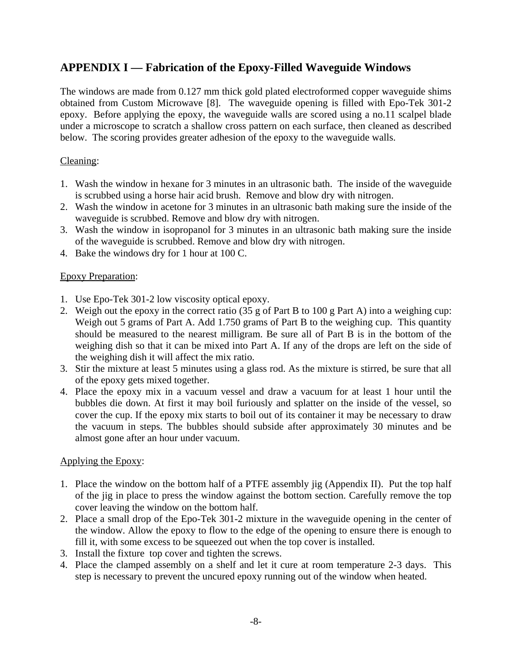## **APPENDIX I — Fabrication of the Epoxy-Filled Waveguide Windows**

The windows are made from 0.127 mm thick gold plated electroformed copper waveguide shims obtained from Custom Microwave [8]. The waveguide opening is filled with Epo-Tek 301-2 epoxy. Before applying the epoxy, the waveguide walls are scored using a no.11 scalpel blade under a microscope to scratch a shallow cross pattern on each surface, then cleaned as described below. The scoring provides greater adhesion of the epoxy to the waveguide walls.

### Cleaning:

- 1. Wash the window in hexane for 3 minutes in an ultrasonic bath. The inside of the waveguide is scrubbed using a horse hair acid brush. Remove and blow dry with nitrogen.
- 2. Wash the window in acetone for 3 minutes in an ultrasonic bath making sure the inside of the waveguide is scrubbed. Remove and blow dry with nitrogen.
- 3. Wash the window in isopropanol for 3 minutes in an ultrasonic bath making sure the inside of the waveguide is scrubbed. Remove and blow dry with nitrogen.
- 4. Bake the windows dry for 1 hour at 100 C.

#### Epoxy Preparation:

- 1. Use Epo-Tek 301-2 low viscosity optical epoxy.
- 2. Weigh out the epoxy in the correct ratio (35 g of Part B to 100 g Part A) into a weighing cup: Weigh out 5 grams of Part A. Add 1.750 grams of Part B to the weighing cup. This quantity should be measured to the nearest milligram. Be sure all of Part B is in the bottom of the weighing dish so that it can be mixed into Part A. If any of the drops are left on the side of the weighing dish it will affect the mix ratio.
- 3. Stir the mixture at least 5 minutes using a glass rod. As the mixture is stirred, be sure that all of the epoxy gets mixed together.
- 4. Place the epoxy mix in a vacuum vessel and draw a vacuum for at least 1 hour until the bubbles die down. At first it may boil furiously and splatter on the inside of the vessel, so cover the cup. If the epoxy mix starts to boil out of its container it may be necessary to draw the vacuum in steps. The bubbles should subside after approximately 30 minutes and be almost gone after an hour under vacuum.

#### Applying the Epoxy:

- 1. Place the window on the bottom half of a PTFE assembly jig (Appendix II). Put the top half of the jig in place to press the window against the bottom section. Carefully remove the top cover leaving the window on the bottom half.
- 2. Place a small drop of the Epo-Tek 301-2 mixture in the waveguide opening in the center of the window. Allow the epoxy to flow to the edge of the opening to ensure there is enough to fill it, with some excess to be squeezed out when the top cover is installed.
- 3. Install the fixture top cover and tighten the screws.
- 4. Place the clamped assembly on a shelf and let it cure at room temperature 2-3 days. This step is necessary to prevent the uncured epoxy running out of the window when heated.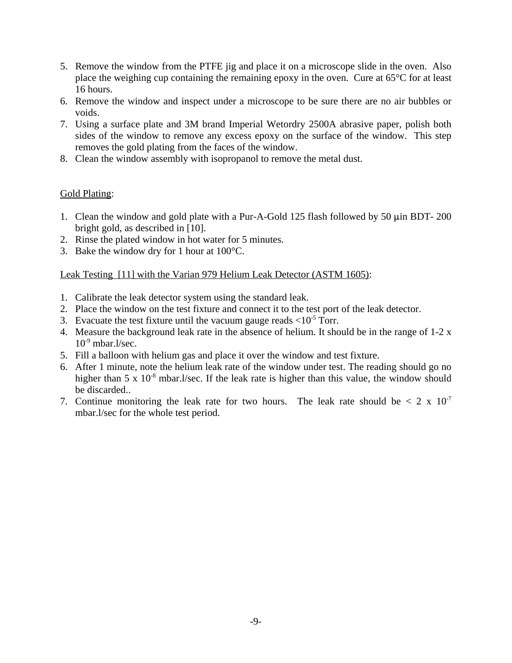- 5. Remove the window from the PTFE jig and place it on a microscope slide in the oven. Also place the weighing cup containing the remaining epoxy in the oven. Cure at 65°C for at least 16 hours.
- 6. Remove the window and inspect under a microscope to be sure there are no air bubbles or voids.
- 7. Using a surface plate and 3M brand Imperial Wetordry 2500A abrasive paper, polish both sides of the window to remove any excess epoxy on the surface of the window. This step removes the gold plating from the faces of the window.
- 8. Clean the window assembly with isopropanol to remove the metal dust.

#### Gold Plating:

- 1. Clean the window and gold plate with a Pur-A-Gold 125 flash followed by 50  $\mu$ in BDT- 200 bright gold, as described in [10].
- 2. Rinse the plated window in hot water for 5 minutes.
- 3. Bake the window dry for 1 hour at 100°C.

#### Leak Testing [11] with the Varian 979 Helium Leak Detector (ASTM 1605):

- 1. Calibrate the leak detector system using the standard leak.
- 2. Place the window on the test fixture and connect it to the test port of the leak detector.
- 3. Evacuate the test fixture until the vacuum gauge reads  $\langle 10^{-5} \text{ Torr.} \rangle$
- 4. Measure the background leak rate in the absence of helium. It should be in the range of 1-2 x  $10^{-9}$  mbar.l/sec.
- 5. Fill a balloon with helium gas and place it over the window and test fixture.
- 6. After 1 minute, note the helium leak rate of the window under test. The reading should go no higher than  $5 \times 10^{-8}$  mbar.l/sec. If the leak rate is higher than this value, the window should be discarded..
- 7. Continue monitoring the leak rate for two hours. The leak rate should be  $\langle 2 \times 10^{-7} \rangle$ mbar.l/sec for the whole test period.